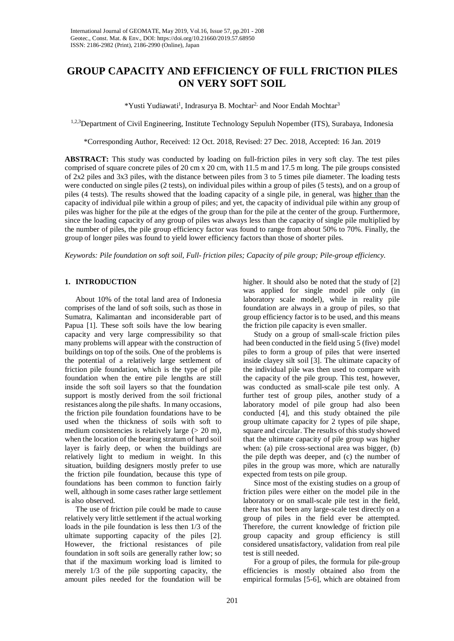# **GROUP CAPACITY AND EFFICIENCY OF FULL FRICTION PILES ON VERY SOFT SOIL**

\*Yusti Yudiawati<sup>1</sup>, Indrasurya B. Mochtar<sup>2,</sup> and Noor Endah Mochtar<sup>3</sup>

1,2,3Department of Civil Engineering, Institute Technology Sepuluh Nopember (ITS), Surabaya, Indonesia

\*Corresponding Author, Received: 12 Oct. 2018, Revised: 27 Dec. 2018, Accepted: 16 Jan. 2019

**ABSTRACT:** This study was conducted by loading on full-friction piles in very soft clay. The test piles comprised of square concrete piles of 20 cm x 20 cm, with 11.5 m and 17.5 m long. The pile groups consisted of 2x2 piles and 3x3 piles, with the distance between piles from 3 to 5 times pile diameter. The loading tests were conducted on single piles (2 tests), on individual piles within a group of piles (5 tests), and on a group of piles (4 tests). The results showed that the loading capacity of a single pile, in general, was higher than the capacity of individual pile within a group of piles; and yet, the capacity of individual pile within any group of piles was higher for the pile at the edges of the group than for the pile at the center of the group. Furthermore, since the loading capacity of any group of piles was always less than the capacity of single pile multiplied by the number of piles, the pile group efficiency factor was found to range from about 50% to 70%. Finally, the group of longer piles was found to yield lower efficiency factors than those of shorter piles.

*Keywords: Pile foundation on soft soil, Full- friction piles; Capacity of pile group; Pile-group efficiency.*

## **1. INTRODUCTION**

About 10% of the total land area of Indonesia comprises of the land of soft soils, such as those in Sumatra, Kalimantan and inconsiderable part of Papua [1]. These soft soils have the low bearing capacity and very large compressibility so that many problems will appear with the construction of buildings on top of the soils. One of the problems is the potential of a relatively large settlement of friction pile foundation, which is the type of pile foundation when the entire pile lengths are still inside the soft soil layers so that the foundation support is mostly derived from the soil frictional resistances along the pile shafts. In many occasions, the friction pile foundation foundations have to be used when the thickness of soils with soft to medium consistencies is relatively large  $(> 20 \text{ m})$ , when the location of the bearing stratum of hard soil layer is fairly deep, or when the buildings are relatively light to medium in weight. In this situation, building designers mostly prefer to use the friction pile foundation, because this type of foundations has been common to function fairly well, although in some cases rather large settlement is also observed.

The use of friction pile could be made to cause relatively very little settlement if the actual working loads in the pile foundation is less then 1/3 of the ultimate supporting capacity of the piles [2]. However, the frictional resistances of pile foundation in soft soils are generally rather low; so that if the maximum working load is limited to merely 1/3 of the pile supporting capacity, the amount piles needed for the foundation will be

higher. It should also be noted that the study of [2] was applied for single model pile only (in laboratory scale model), while in reality pile foundation are always in a group of piles, so that group efficiency factor is to be used, and this means the friction pile capacity is even smaller.

Study on a group of small-scale friction piles had been conducted in the field using 5 (five) model piles to form a group of piles that were inserted inside clayey silt soil [3]. The ultimate capacity of the individual pile was then used to compare with the capacity of the pile group. This test, however, was conducted as small-scale pile test only. A further test of group piles, another study of a laboratory model of pile group had also been conducted [4], and this study obtained the pile group ultimate capacity for 2 types of pile shape, square and circular. The results of this study showed that the ultimate capacity of pile group was higher when: (a) pile cross-sectional area was bigger, (b) the pile depth was deeper, and (c) the number of piles in the group was more, which are naturally expected from tests on pile group.

Since most of the existing studies on a group of friction piles were either on the model pile in the laboratory or on small-scale pile test in the field, there has not been any large-scale test directly on a group of piles in the field ever be attempted. Therefore, the current knowledge of friction pile group capacity and group efficiency is still considered unsatisfactory, validation from real pile test is still needed.

For a group of piles, the formula for pile-group efficiencies is mostly obtained also from the empirical formulas [5-6], which are obtained from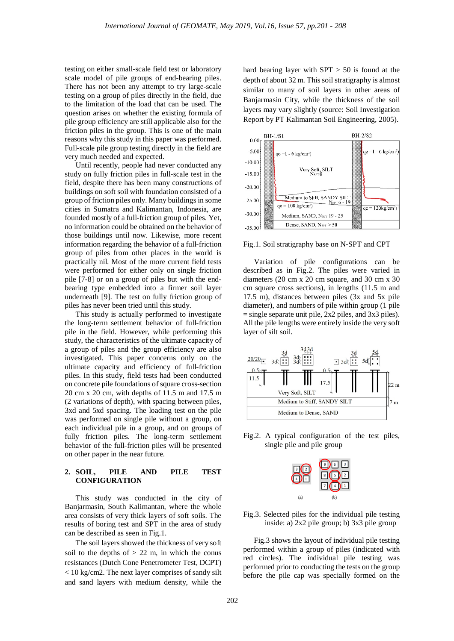testing on either small-scale field test or laboratory scale model of pile groups of end-bearing piles. There has not been any attempt to try large-scale testing on a group of piles directly in the field, due to the limitation of the load that can be used. The question arises on whether the existing formula of pile group efficiency are still applicable also for the friction piles in the group. This is one of the main reasons why this study in this paper was performed. Full-scale pile group testing directly in the field are very much needed and expected.

Until recently, people had never conducted any study on fully friction piles in full-scale test in the field, despite there has been many constructions of buildings on soft soil with foundation consisted of a group of friction piles only. Many buildings in some cities in Sumatra and Kalimantan, Indonesia, are founded mostly of a full-friction group of piles. Yet, no information could be obtained on the behavior of those buildings until now. Likewise, more recent information regarding the behavior of a full-friction group of piles from other places in the world is practically nil. Most of the more current field tests were performed for either only on single friction pile [7-8] or on a group of piles but with the endbearing type embedded into a firmer soil layer underneath [9]. The test on fully friction group of piles has never been tried until this study.

This study is actually performed to investigate the long-term settlement behavior of full-friction pile in the field. However, while performing this study, the characteristics of the ultimate capacity of a group of piles and the group efficiency are also investigated. This paper concerns only on the ultimate capacity and efficiency of full-friction piles. In this study, field tests had been conducted on concrete pile foundations of square cross-section 20 cm x 20 cm, with depths of 11.5 m and 17.5 m (2 variations of depth), with spacing between piles, 3xd and 5xd spacing. The loading test on the pile was performed on single pile without a group, on each individual pile in a group, and on groups of fully friction piles. The long-term settlement behavior of the full-friction piles will be presented on other paper in the near future.

# **2. SOIL, PILE AND PILE TEST CONFIGURATION**

This study was conducted in the city of Banjarmasin, South Kalimantan, where the whole area consists of very thick layers of soft soils. The results of boring test and SPT in the area of study can be described as seen in Fig.1.

The soil layers showed the thickness of very soft soil to the depths of  $> 22$  m, in which the conus resistances (Dutch Cone Penetrometer Test, DCPT) < 10 kg/cm2. The next layer comprises of sandy silt and sand layers with medium density, while the hard bearing layer with  $SPT > 50$  is found at the depth of about 32 m. This soil stratigraphy is almost similar to many of soil layers in other areas of Banjarmasin City, while the thickness of the soil layers may vary slightly (source: Soil Investigation Report by PT Kalimantan Soil Engineering, 2005).



Fig.1. Soil stratigraphy base on N-SPT and CPT

Variation of pile configurations can be described as in Fig.2. The piles were varied in diameters (20 cm x 20 cm square, and 30 cm x 30 cm square cross sections), in lengths (11.5 m and 17.5 m), distances between piles (3x and 5x pile diameter), and numbers of pile within group (1 pile  $=$  single separate unit pile, 2x2 piles, and 3x3 piles). All the pile lengths were entirely inside the very soft layer of silt soil.



Fig.2. A typical configuration of the test piles, single pile and pile group



Fig.3. Selected piles for the individual pile testing inside: a) 2x2 pile group; b) 3x3 pile group

Fig.3 shows the layout of individual pile testing performed within a group of piles (indicated with red circles). The individual pile testing was performed prior to conducting the tests on the group before the pile cap was specially formed on the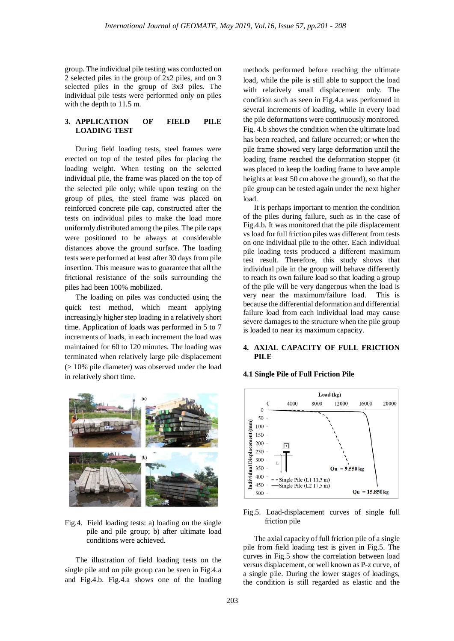group. The individual pile testing was conducted on 2 selected piles in the group of 2x2 piles, and on 3 selected piles in the group of 3x3 piles. The individual pile tests were performed only on piles with the depth to 11.5 m.

# **3. APPLICATION OF FIELD PILE LOADING TEST**

During field loading tests, steel frames were erected on top of the tested piles for placing the loading weight. When testing on the selected individual pile, the frame was placed on the top of the selected pile only; while upon testing on the group of piles, the steel frame was placed on reinforced concrete pile cap, constructed after the tests on individual piles to make the load more uniformly distributed among the piles. The pile caps were positioned to be always at considerable distances above the ground surface. The loading tests were performed at least after 30 days from pile insertion. This measure was to guarantee that all the frictional resistance of the soils surrounding the piles had been 100% mobilized.

The loading on piles was conducted using the quick test method, which meant applying increasingly higher step loading in a relatively short time. Application of loads was performed in 5 to 7 increments of loads, in each increment the load was maintained for 60 to 120 minutes. The loading was terminated when relatively large pile displacement (> 10% pile diameter) was observed under the load in relatively short time.



Fig.4. Field loading tests: a) loading on the single pile and pile group; b) after ultimate load conditions were achieved.

The illustration of field loading tests on the single pile and on pile group can be seen in Fig.4.a and Fig.4.b. Fig.4.a shows one of the loading

methods performed before reaching the ultimate load, while the pile is still able to support the load with relatively small displacement only. The condition such as seen in Fig.4.a was performed in several increments of loading, while in every load the pile deformations were continuously monitored. Fig. 4.b shows the condition when the ultimate load has been reached, and failure occurred; or when the pile frame showed very large deformation until the loading frame reached the deformation stopper (it was placed to keep the loading frame to have ample heights at least 50 cm above the ground), so that the pile group can be tested again under the next higher load.

It is perhaps important to mention the condition of the piles during failure, such as in the case of Fig.4.b. It was monitored that the pile displacement vs load for full friction piles was different from tests on one individual pile to the other. Each individual pile loading tests produced a different maximum test result. Therefore, this study shows that individual pile in the group will behave differently to reach its own failure load so that loading a group of the pile will be very dangerous when the load is very near the maximum/failure load. This is because the differential deformation and differential failure load from each individual load may cause severe damages to the structure when the pile group is loaded to near its maximum capacity.

## **4. AXIAL CAPACITY OF FULL FRICTION PILE**



#### **4.1 Single Pile of Full Friction Pile**

Fig.5. Load-displacement curves of single full friction pile

The axial capacity of full friction pile of a single pile from field loading test is given in Fig.5. The curves in Fig.5 show the correlation between load versus displacement, or well known as P-z curve, of a single pile. During the lower stages of loadings, the condition is still regarded as elastic and the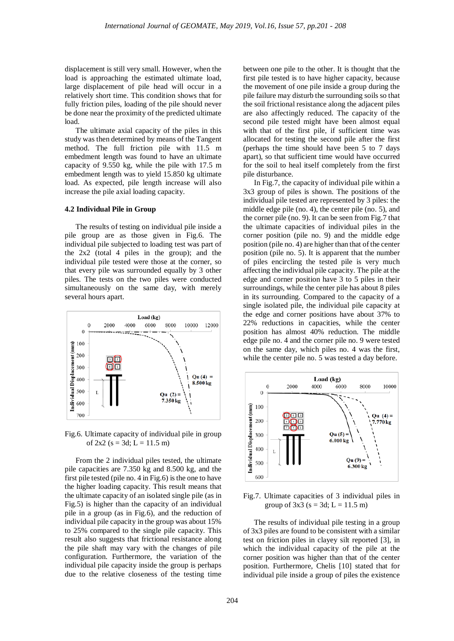displacement is still very small. However, when the load is approaching the estimated ultimate load, large displacement of pile head will occur in a relatively short time. This condition shows that for fully friction piles, loading of the pile should never be done near the proximity of the predicted ultimate load.

The ultimate axial capacity of the piles in this study was then determined by means of the Tangent method. The full friction pile with 11.5 m embedment length was found to have an ultimate capacity of 9.550 kg, while the pile with 17.5 m embedment length was to yield 15.850 kg ultimate load. As expected, pile length increase will also increase the pile axial loading capacity.

#### **4.2 Individual Pile in Group**

The results of testing on individual pile inside a pile group are as those given in Fig.6. The individual pile subjected to loading test was part of the 2x2 (total 4 piles in the group); and the individual pile tested were those at the corner, so that every pile was surrounded equally by 3 other piles. The tests on the two piles were conducted simultaneously on the same day, with merely several hours apart.



Fig.6. Ultimate capacity of individual pile in group of  $2x2$  (s = 3d; L = 11.5 m)

From the 2 individual piles tested, the ultimate pile capacities are 7.350 kg and 8.500 kg, and the first pile tested (pile no. 4 in Fig.6) is the one to have the higher loading capacity. This result means that the ultimate capacity of an isolated single pile (as in Fig.5) is higher than the capacity of an individual pile in a group (as in Fig.6), and the reduction of individual pile capacity in the group was about 15% to 25% compared to the single pile capacity. This result also suggests that frictional resistance along the pile shaft may vary with the changes of pile configuration. Furthermore, the variation of the individual pile capacity inside the group is perhaps due to the relative closeness of the testing time

between one pile to the other. It is thought that the first pile tested is to have higher capacity, because the movement of one pile inside a group during the pile failure may disturb the surrounding soils so that the soil frictional resistance along the adjacent piles are also affectingly reduced. The capacity of the second pile tested might have been almost equal with that of the first pile, if sufficient time was allocated for testing the second pile after the first (perhaps the time should have been 5 to 7 days apart), so that sufficient time would have occurred for the soil to heal itself completely from the first pile disturbance.

In Fig.7, the capacity of individual pile within a 3x3 group of piles is shown. The positions of the individual pile tested are represented by 3 piles: the middle edge pile (no. 4), the center pile (no. 5), and the corner pile (no. 9). It can be seen from Fig.7 that the ultimate capacities of individual piles in the corner position (pile no. 9) and the middle edge position (pile no. 4) are higher than that of the center position (pile no. 5). It is apparent that the number of piles encircling the tested pile is very much affecting the individual pile capacity. The pile at the edge and corner position have 3 to 5 piles in their surroundings, while the center pile has about 8 piles in its surrounding. Compared to the capacity of a single isolated pile, the individual pile capacity at the edge and corner positions have about 37% to 22% reductions in capacities, while the center position has almost 40% reduction. The middle edge pile no. 4 and the corner pile no. 9 were tested on the same day, which piles no. 4 was the first, while the center pile no. 5 was tested a day before.



Fig.7. Ultimate capacities of 3 individual piles in group of  $3x3$  (s = 3d; L = 11.5 m)

The results of individual pile testing in a group of 3x3 piles are found to be consistent with a similar test on friction piles in clayey silt reported [3], in which the individual capacity of the pile at the corner position was higher than that of the center position. Furthermore, Chelis [10] stated that for individual pile inside a group of piles the existence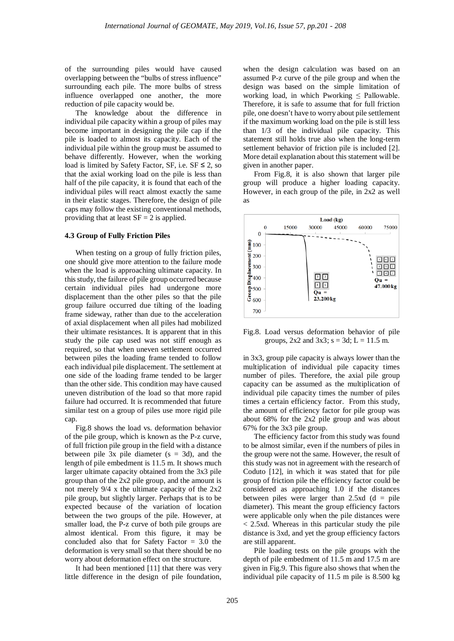of the surrounding piles would have caused overlapping between the "bulbs of stress influence" surrounding each pile. The more bulbs of stress influence overlapped one another, the more reduction of pile capacity would be.

The knowledge about the difference in individual pile capacity within a group of piles may become important in designing the pile cap if the pile is loaded to almost its capacity. Each of the individual pile within the group must be assumed to behave differently. However, when the working load is limited by Safety Factor, SF, i.e.  $SF \leq 2$ , so that the axial working load on the pile is less than half of the pile capacity, it is found that each of the individual piles will react almost exactly the same in their elastic stages. Therefore, the design of pile caps may follow the existing conventional methods, providing that at least  $SF = 2$  is applied.

#### **4.3 Group of Fully Friction Piles**

When testing on a group of fully friction piles, one should give more attention to the failure mode when the load is approaching ultimate capacity. In this study, the failure of pile group occurred because certain individual piles had undergone more displacement than the other piles so that the pile group failure occurred due tilting of the loading frame sideway, rather than due to the acceleration of axial displacement when all piles had mobilized their ultimate resistances. It is apparent that in this study the pile cap used was not stiff enough as required, so that when uneven settlement occurred between piles the loading frame tended to follow each individual pile displacement. The settlement at one side of the loading frame tended to be larger than the other side. This condition may have caused uneven distribution of the load so that more rapid failure had occurred. It is recommended that future similar test on a group of piles use more rigid pile cap.

Fig.8 shows the load vs. deformation behavior of the pile group, which is known as the P-z curve, of full friction pile group in the field with a distance between pile  $3x$  pile diameter ( $s = 3d$ ), and the length of pile embedment is 11.5 m. It shows much larger ultimate capacity obtained from the 3x3 pile group than of the 2x2 pile group, and the amount is not merely 9/4 x the ultimate capacity of the 2x2 pile group, but slightly larger. Perhaps that is to be expected because of the variation of location between the two groups of the pile. However, at smaller load, the P-z curve of both pile groups are almost identical. From this figure, it may be concluded also that for Safety Factor = 3.0 the deformation is very small so that there should be no worry about deformation effect on the structure.

It had been mentioned [11] that there was very little difference in the design of pile foundation,

when the design calculation was based on an assumed P-z curve of the pile group and when the design was based on the simple limitation of working load, in which Pworking  $\leq$  Pallowable. Therefore, it is safe to assume that for full friction pile, one doesn't have to worry about pile settlement if the maximum working load on the pile is still less than 1/3 of the individual pile capacity. This statement still holds true also when the long-term settlement behavior of friction pile is included [2]. More detail explanation about this statement will be given in another paper.

From Fig.8, it is also shown that larger pile group will produce a higher loading capacity. However, in each group of the pile, in 2x2 as well as



Fig.8. Load versus deformation behavior of pile groups,  $2x2$  and  $3x3$ ;  $s = 3d$ ;  $L = 11.5$  m.

in 3x3, group pile capacity is always lower than the multiplication of individual pile capacity times number of piles. Therefore, the axial pile group capacity can be assumed as the multiplication of individual pile capacity times the number of piles times a certain efficiency factor. From this study, the amount of efficiency factor for pile group was about 68% for the 2x2 pile group and was about 67% for the 3x3 pile group.

The efficiency factor from this study was found to be almost similar, even if the numbers of piles in the group were not the same. However, the result of this study was not in agreement with the research of Coduto [12], in which it was stated that for pile group of friction pile the efficiency factor could be considered as approaching 1.0 if the distances between piles were larger than  $2.5xd$  (d = pile diameter). This meant the group efficiency factors were applicable only when the pile distances were < 2.5xd. Whereas in this particular study the pile distance is 3xd, and yet the group efficiency factors are still apparent.

Pile loading tests on the pile groups with the depth of pile embedment of 11.5 m and 17.5 m are given in Fig.9. This figure also shows that when the individual pile capacity of 11.5 m pile is 8.500 kg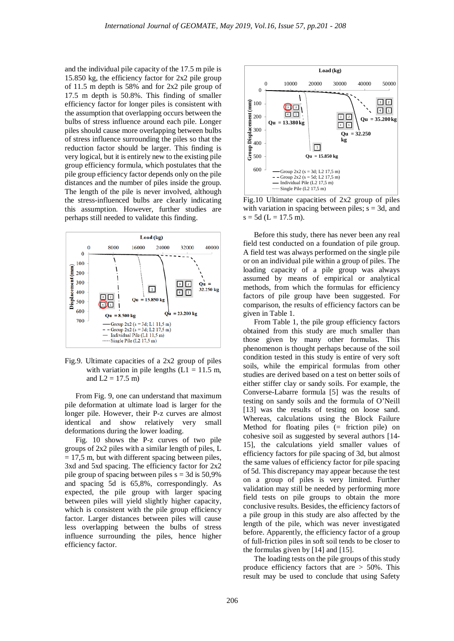and the individual pile capacity of the 17.5 m pile is 15.850 kg, the efficiency factor for 2x2 pile group of 11.5 m depth is 58% and for 2x2 pile group of 17.5 m depth is 50.8%. This finding of smaller efficiency factor for longer piles is consistent with the assumption that overlapping occurs between the bulbs of stress influence around each pile. Longer piles should cause more overlapping between bulbs of stress influence surrounding the piles so that the reduction factor should be larger. This finding is very logical, but it is entirely new to the existing pile group efficiency formula, which postulates that the pile group efficiency factor depends only on the pile distances and the number of piles inside the group. The length of the pile is never involved, although the stress-influenced bulbs are clearly indicating this assumption. However, further studies are perhaps still needed to validate this finding.



Fig.9. Ultimate capacities of a 2x2 group of piles with variation in pile lengths  $(L1 = 11.5 \text{ m}$ , and  $L2 = 17.5$  m)

From Fig. 9, one can understand that maximum pile deformation at ultimate load is larger for the longer pile. However, their P-z curves are almost identical and show relatively very small deformations during the lower loading.

Fig. 10 shows the P-z curves of two pile groups of 2x2 piles with a similar length of piles, L  $= 17.5$  m, but with different spacing between piles, 3xd and 5xd spacing. The efficiency factor for 2x2 pile group of spacing between piles  $s = 3d$  is 50,9% and spacing 5d is 65,8%, correspondingly. As expected, the pile group with larger spacing between piles will yield slightly higher capacity, which is consistent with the pile group efficiency factor. Larger distances between piles will cause less overlapping between the bulbs of stress influence surrounding the piles, hence higher efficiency factor.



Fig.10 Ultimate capacities of 2x2 group of piles with variation in spacing between piles;  $s = 3d$ , and  $s = 5d$  (L = 17.5 m).

Before this study, there has never been any real field test conducted on a foundation of pile group. A field test was always performed on the single pile or on an individual pile within a group of piles. The loading capacity of a pile group was always assumed by means of empirical or analytical methods, from which the formulas for efficiency factors of pile group have been suggested. For comparison, the results of efficiency factors can be given in Table 1.

From Table 1, the pile group efficiency factors obtained from this study are much smaller than those given by many other formulas. This phenomenon is thought perhaps because of the soil condition tested in this study is entire of very soft soils, while the empirical formulas from other studies are derived based on a test on better soils of either stiffer clay or sandy soils. For example, the Converse-Labarre formula [5] was the results of testing on sandy soils and the formula of O'Neill [13] was the results of testing on loose sand. Whereas, calculations using the Block Failure Method for floating piles (= friction pile) on cohesive soil as suggested by several authors [14- 15], the calculations yield smaller values of efficiency factors for pile spacing of 3d, but almost the same values of efficiency factor for pile spacing of 5d. This discrepancy may appear because the test on a group of piles is very limited. Further validation may still be needed by performing more field tests on pile groups to obtain the more conclusive results. Besides, the efficiency factors of a pile group in this study are also affected by the length of the pile, which was never investigated before. Apparently, the efficiency factor of a group of full-friction piles in soft soil tends to be closer to the formulas given by [14] and [15].

The loading tests on the pile groups of this study produce efficiency factors that are  $> 50\%$ . This result may be used to conclude that using Safety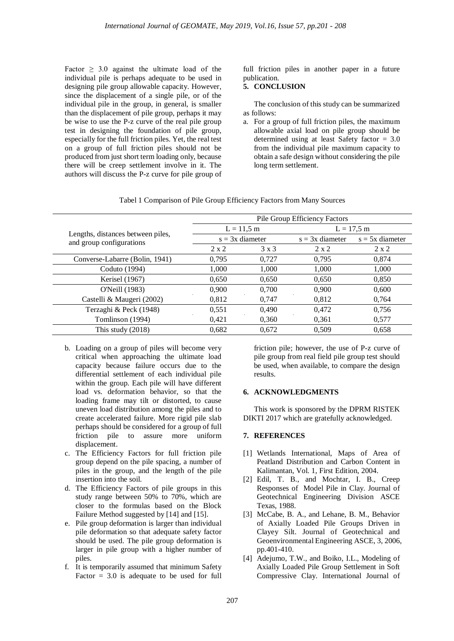Factor  $\geq$  3.0 against the ultimate load of the individual pile is perhaps adequate to be used in designing pile group allowable capacity. However, since the displacement of a single pile, or of the individual pile in the group, in general, is smaller than the displacement of pile group, perhaps it may be wise to use the P-z curve of the real pile group test in designing the foundation of pile group, especially for the full friction piles. Yet, the real test on a group of full friction piles should not be produced from just short term loading only, because there will be creep settlement involve in it. The authors will discuss the P-z curve for pile group of full friction piles in another paper in a future publication.

# **5. CONCLUSION**

The conclusion of this study can be summarized as follows:

a. For a group of full friction piles, the maximum allowable axial load on pile group should be determined using at least Safety factor = 3.0 from the individual pile maximum capacity to obtain a safe design without considering the pile long term settlement.

|                                                               | Pile Group Efficiency Factors |              |                   |                   |
|---------------------------------------------------------------|-------------------------------|--------------|-------------------|-------------------|
| Lengths, distances between piles,<br>and group configurations | $L = 11,5$ m                  |              | $L = 17.5$ m      |                   |
|                                                               | $s = 3x$ diameter             |              | $s = 3x$ diameter | $s = 5x$ diameter |
|                                                               | $2 \times 2$                  | $3 \times 3$ | $2 \times 2$      | $2 \times 2$      |
| Converse-Labarre (Bolin, 1941)                                | 0.795                         | 0,727        | 0,795             | 0,874             |
| Coduto (1994)                                                 | 1,000                         | 1,000        | 1,000             | 1,000             |
| Kerisel (1967)                                                | 0,650                         | 0.650        | 0.650             | 0,850             |
| O'Neill (1983)                                                | 0,900                         | 0,700        | 0.900             | 0,600             |
| Castelli & Maugeri (2002)                                     | 0,812                         | 0,747        | 0.812             | 0.764             |
| Terzaghi & Peck (1948)                                        | 0,551                         | 0.490        | 0,472             | 0,756             |
| Tomlinson (1994)                                              | 0.421                         | 0,360        | 0.361             | 0.577             |
| This study $(2018)$                                           | 0,682                         | 0,672        | 0.509             | 0.658             |

Tabel 1 Comparison of Pile Group Efficiency Factors from Many Sources

- b. Loading on a group of piles will become very critical when approaching the ultimate load capacity because failure occurs due to the differential settlement of each individual pile within the group. Each pile will have different load vs. deformation behavior, so that the loading frame may tilt or distorted, to cause uneven load distribution among the piles and to create accelerated failure. More rigid pile slab perhaps should be considered for a group of full friction pile to assure more uniform displacement.
- c. The Efficiency Factors for full friction pile group depend on the pile spacing, a number of piles in the group, and the length of the pile insertion into the soil.
- d. The Efficiency Factors of pile groups in this study range between 50% to 70%, which are closer to the formulas based on the Block Failure Method suggested by [14] and [15].
- e. Pile group deformation is larger than individual pile deformation so that adequate safety factor should be used. The pile group deformation is larger in pile group with a higher number of piles.
- f. It is temporarily assumed that minimum Safety Factor  $= 3.0$  is adequate to be used for full

friction pile; however, the use of P-z curve of pile group from real field pile group test should be used, when available, to compare the design results.

## **6. ACKNOWLEDGMENTS**

This work is sponsored by the DPRM RISTEK DIKTI 2017 which are gratefully acknowledged.

## **7. REFERENCES**

- [1] Wetlands International, Maps of Area of Peatland Distribution and Carbon Content in Kalimantan, Vol. 1, First Edition, 2004.
- [2] Edil, T. B., and Mochtar, I. B., Creep Responses of Model Pile in Clay. Journal of Geotechnical Engineering Division ASCE Texas, 1988.
- [3] McCabe, B. A., and Lehane, B. M., Behavior of Axially Loaded Pile Groups Driven in Clayey Silt. Journal of Geotechnical and Geoenvironmental Engineering ASCE, 3, 2006, pp.401-410.
- [4] Adejumo, T.W., and Boiko, I.L., Modeling of Axially Loaded Pile Group Settlement in Soft Compressive Clay. International Journal of